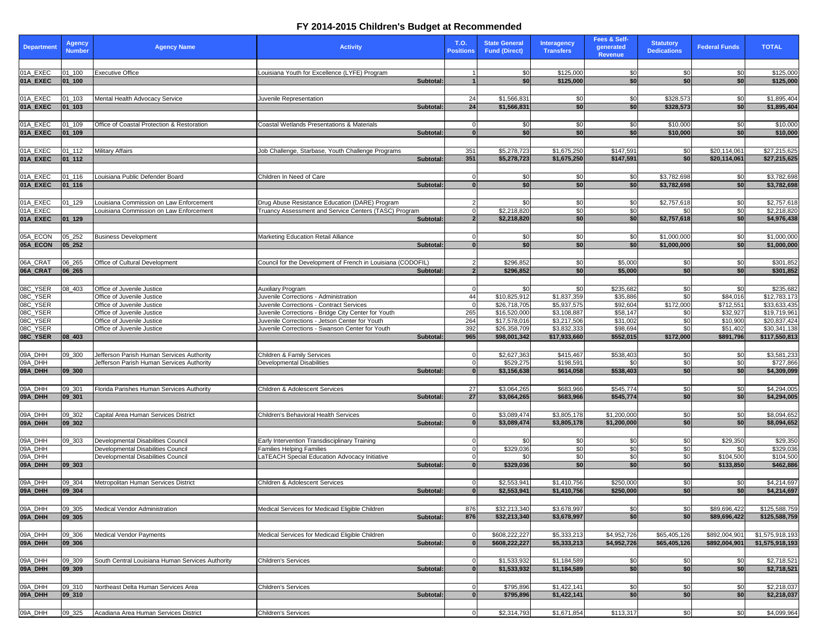| <b>Department</b>  | <b>Agency</b><br><b>Number</b> | <b>Agency Name</b>                               | <b>Activity</b>                                                           | <b>T.O.</b><br><b>Positions</b> | <b>State General</b><br><b>Fund (Direct)</b> | <b>Interagency</b><br><b>Transfers</b> | Fees & Self-<br>generated<br><b>Revenue</b> | <b>Statutory</b><br><b>Dedications</b> | <b>Federal Funds</b>    | <b>TOTAL</b>                   |
|--------------------|--------------------------------|--------------------------------------------------|---------------------------------------------------------------------------|---------------------------------|----------------------------------------------|----------------------------------------|---------------------------------------------|----------------------------------------|-------------------------|--------------------------------|
|                    |                                |                                                  |                                                                           |                                 |                                              |                                        |                                             |                                        |                         |                                |
| 01A_EXEC           | $01 - 100$                     | <b>Executive Office</b>                          | Louisiana Youth for Excellence (LYFE) Program                             |                                 | \$0                                          | \$125,000                              | <b>\$01</b>                                 | \$0                                    | \$0                     | \$125,000                      |
| 01A EXEC           | $ 01$ 100                      |                                                  | Subtotal:                                                                 |                                 | \$0                                          | \$125,000                              | \$0 <sub>1</sub>                            | \$0                                    | \$0 <sub>1</sub>        | \$125,000                      |
| 01A_EXEC           | $01 - 103$                     | Mental Health Advocacy Service                   | Juvenile Representation                                                   | 24                              | \$1,566,831                                  | \$0                                    | \$0                                         | \$328,573                              | \$0                     | \$1,895,404                    |
| 01A_EXEC           | $ 01$ 103                      |                                                  | Subtotal:                                                                 | 24                              | \$1,566,831                                  | \$0                                    | \$0                                         | \$328,573                              | \$0                     | \$1,895,404                    |
|                    |                                |                                                  |                                                                           |                                 |                                              |                                        |                                             |                                        |                         |                                |
| 01A_EXEC           | $01 - 109$                     | Office of Coastal Protection & Restoration       | Coastal Wetlands Presentations & Materials                                |                                 | \$0                                          | -\$0                                   | \$0                                         | \$10,000                               | \$0                     | \$10,000                       |
| 01A_EXEC           | $ 01$ 109                      |                                                  | Subtotal:                                                                 |                                 | \$0                                          | \$0                                    | \$0                                         | \$10,000                               | \$0                     | \$10,000                       |
|                    |                                |                                                  |                                                                           |                                 |                                              |                                        |                                             |                                        |                         |                                |
| 01A_EXEC           | $01 - 112$                     | <b>Military Affairs</b>                          | Job Challenge, Starbase, Youth Challenge Programs                         | 351                             | \$5,278,723                                  | \$1,675,250                            | \$147,591                                   | \$0                                    | \$20,114,061            | \$27,215,625                   |
| 01A_EXEC           | $ 01_112 $                     |                                                  | Subtotal:                                                                 | 351                             | \$5,278,723                                  | \$1,675,250                            | \$147,591                                   | $\overline{\$0}$                       | \$20,114,061            | \$27,215,625                   |
| 01A_EXEC           | $01 - 116$                     | Louisiana Public Defender Board                  | Children In Need of Care                                                  |                                 | \$0                                          | -\$0                                   |                                             | \$3,782,698                            |                         | \$3,782,698                    |
| 01A_EXEC           | $ 01_116$                      |                                                  | Subtotal:                                                                 |                                 | \$0                                          | \$0                                    | \$0<br>\$0                                  | \$3,782,698                            | \$0<br>\$0 <sub>1</sub> | \$3,782,698                    |
|                    |                                |                                                  |                                                                           |                                 |                                              |                                        |                                             |                                        |                         |                                |
| 01A_EXEC           | $01 - 129$                     | Louisiana Commission on Law Enforcement          | Drug Abuse Resistance Education (DARE) Program                            |                                 | \$0                                          | \$0                                    | <b>\$0</b>                                  | \$2,757,618                            | \$0                     | \$2,757,618                    |
| 01A_EXEC           |                                | Louisiana Commission on Law Enforcement          | Truancy Assessment and Service Centers (TASC) Program                     |                                 | \$2,218,820                                  | \$0                                    | \$0                                         |                                        | \$0                     | \$2,218,820                    |
| 01A_EXEC           | $ 01$ 129                      |                                                  | Subtotal:                                                                 |                                 | \$2,218,820                                  | \$0                                    | \$0                                         | \$2,757,618                            | \$0                     | \$4,976,438                    |
|                    |                                |                                                  |                                                                           |                                 |                                              |                                        |                                             |                                        |                         |                                |
| 05A_ECON           | 05_252                         | <b>Business Development</b>                      | <b>Marketing Education Retail Alliance</b>                                |                                 | \$0                                          | \$0                                    | \$0                                         | \$1,000,000                            | \$0                     | \$1,000,000                    |
| 05A_ECON           | $ 05 - 252 $                   |                                                  | Subtotal:                                                                 |                                 | \$0                                          | \$0                                    | \$0                                         | \$1,000,000                            | \$0                     | \$1,000,000                    |
| 06A_CRAT           |                                |                                                  |                                                                           |                                 | \$296,852                                    |                                        |                                             |                                        |                         |                                |
| 06A_CRAT           | 06_265<br>$ 06 \t265$          | Office of Cultural Development                   | Council for the Development of French in Louisiana (CODOFIL)<br>Subtotal: |                                 | \$296,852                                    | \$0<br>\$0                             | \$5,000<br>\$5,000                          | \$0<br>\$0                             | \$0<br>\$0              | \$301,852<br>\$301,852         |
|                    |                                |                                                  |                                                                           |                                 |                                              |                                        |                                             |                                        |                         |                                |
| 08C_YSER           | $08 - 403$                     | Office of Juvenile Justice                       | <b>Auxiliary Program</b>                                                  |                                 | \$0                                          | \$0                                    | \$235,682                                   | \$0                                    | \$0                     | \$235,682                      |
| 08C_YSER           |                                | Office of Juvenile Justice                       | Juvenile Corrections - Administration                                     | 44                              | \$10,825,912                                 | \$1,837,359                            | \$35,886                                    | \$0                                    | \$84,016                | \$12,783,173                   |
| 08C_YSER           |                                | Office of Juvenile Justice                       | Juvenile Corrections - Contract Services                                  |                                 | \$26,718,705                                 | \$5,937,575                            | \$92,604                                    | \$172,000                              | \$712,551               | \$33,633,435                   |
| 08C_YSER           |                                | Office of Juvenile Justice                       | Juvenile Corrections - Bridge City Center for Youth                       | 265                             | \$16,520,000                                 | \$3,108,887                            | \$58,147                                    | \$0                                    | \$32,927                | \$19,719,961                   |
| 08C_YSER           |                                | Office of Juvenile Justice                       | Juvenile Corrections - Jetson Center for Youth                            | 264                             | \$17,578,016                                 | \$3,217,506                            | \$31,002                                    | \$0                                    | \$10,900                | \$20,837,424                   |
| 08C_YSER           |                                | Office of Juvenile Justice                       | Juvenile Corrections - Swanson Center for Youth<br>Subtotal:              | 392<br>965                      | \$26,358,709<br>\$98,001,342                 | \$3,832,333<br>\$17,933,660            | \$98,694<br>\$552,015                       | \$0<br>\$172,000                       | \$51,402<br>\$891,796   | \$30,341,138<br>\$117,550,813  |
|                    |                                |                                                  |                                                                           |                                 |                                              |                                        |                                             |                                        |                         |                                |
| 09A_DHH            | 09_300                         | Jefferson Parish Human Services Authority        | Children & Family Services                                                |                                 | \$2,627,363                                  | \$415,467                              | \$538,403                                   | \$0                                    | \$0                     | \$3,581,233                    |
| 09A_DHH            |                                | Jefferson Parish Human Services Authority        | Developmental Disabilities                                                |                                 | \$529,275                                    | \$198,591                              |                                             | $\overline{30}$                        | \$0                     | \$727,866                      |
| 09A_DHH            | 09 300                         |                                                  | Subtotal:                                                                 |                                 | \$3,156,638                                  | \$614,058                              | \$538,403                                   | \$0                                    | \$0                     | \$4,309,099                    |
|                    |                                |                                                  |                                                                           |                                 |                                              |                                        |                                             |                                        |                         |                                |
| 09A_DHH            | 09_301                         | Florida Parishes Human Services Authority        | Children & Adolescent Services                                            | 27                              | \$3,064,265                                  | \$683,966                              | \$545,774                                   | \$0                                    | \$0                     | \$4,294,005                    |
| 09A_DHH            | $ 09$ _301                     |                                                  | Subtotal:                                                                 | 27                              | \$3,064,265                                  | \$683,966                              | \$545,774                                   | \$0                                    | \$0 <sub>1</sub>        | \$4,294,005                    |
|                    |                                |                                                  |                                                                           |                                 |                                              |                                        |                                             |                                        |                         |                                |
| 09A_DHH<br>09A_DHH | 09_302<br> 09 302              | Capital Area Human Services District             | Children's Behavioral Health Services<br>Subtotal:                        |                                 | \$3,089,474<br>\$3,089,474                   | \$3,805,178<br>\$3,805,178             | \$1,200,000<br>\$1,200,000                  | \$0<br>\$0                             | \$0<br>\$0 <sub>1</sub> | \$8,094,652<br>\$8,094,652     |
|                    |                                |                                                  |                                                                           |                                 |                                              |                                        |                                             |                                        |                         |                                |
| 09A_DHH            | 09_303                         | Developmental Disabilities Council               | Early Intervention Transdisciplinary Training                             |                                 | \$0                                          | \$0                                    | \$0                                         | \$0                                    | \$29,350                | \$29,350                       |
| 09A_DHH            |                                | Developmental Disabilities Council               | <b>Families Helping Families</b>                                          |                                 | \$329,036                                    | \$0                                    | \$0                                         | \$0                                    | \$0                     | \$329,036                      |
| 09A_DHH            |                                | Developmental Disabilities Council               | LaTEACH Special Education Advocacy Initiative                             |                                 | \$0                                          | \$0                                    | \$0                                         | $\sqrt{50}$                            | \$104,500               | \$104,500                      |
| 09A_DHH            | 09 303                         |                                                  | Subtotal:                                                                 |                                 | \$329,036                                    | \$0                                    | \$0                                         | \$0                                    | \$133,850               | \$462,886                      |
|                    |                                |                                                  |                                                                           |                                 |                                              |                                        |                                             |                                        |                         |                                |
| 09A_DHH            | 09_304                         | Metropolitan Human Services District             | Children & Adolescent Services                                            |                                 | \$2,553,941                                  | \$1,410,756                            | \$250,000                                   | \$0                                    | \$0                     | \$4,214,697                    |
| 09A_DHH            | 09 304                         |                                                  | Subtotal:                                                                 |                                 | \$2,553,941                                  | \$1,410,756                            | \$250,000                                   | \$0                                    | \$0                     | \$4,214,697                    |
|                    |                                |                                                  | Medical Services for Medicaid Eligible Children                           |                                 |                                              |                                        |                                             |                                        | \$89,696,422            |                                |
| 09A_DHH<br>09A_DHH | 09_305<br> 09 305              | Medical Vendor Administration                    | Subtotal:                                                                 | 876<br>876                      | \$32,213,340<br>\$32,213,340                 | \$3,678,997<br>\$3,678,997             | \$0<br>\$0                                  | \$0<br>\$0                             | \$89,696,422            | \$125,588,759<br>\$125,588,759 |
|                    |                                |                                                  |                                                                           |                                 |                                              |                                        |                                             |                                        |                         |                                |
| 09A_DHH            | 09_306                         | Medical Vendor Payments                          | Medical Services for Medicaid Eligible Children                           |                                 | \$608,222,227                                | \$5,333,213                            | \$4,952,726                                 | \$65,405,126                           | \$892,004,90            | \$1,575,918,193                |
| 09A_DHH            | 09 306                         |                                                  | Subtotal:                                                                 |                                 | \$608,222,227                                | \$5,333,213                            | \$4,952,726                                 | \$65,405,126                           | \$892,004,901           | \$1,575,918,193                |
|                    |                                |                                                  |                                                                           |                                 |                                              |                                        |                                             |                                        |                         |                                |
| 09A_DHH            | 09_309                         | South Central Louisiana Human Services Authority | Children's Services                                                       | $\Omega$                        | \$1,533,932                                  | \$1,184,589                            | \$0                                         | \$0                                    | \$0                     | \$2,718,521                    |
| 09A_DHH            | 09 309                         |                                                  | Subtotal:                                                                 |                                 | \$1,533,932                                  | \$1,184,589                            | \$0                                         | \$0                                    | \$0 <sub>1</sub>        | \$2,718,521                    |
|                    |                                |                                                  |                                                                           |                                 |                                              |                                        |                                             |                                        |                         |                                |
| 09A_DHH            | 09_310                         | Northeast Delta Human Services Area              | Children's Services                                                       |                                 | \$795,896                                    | \$1,422,141                            | \$0                                         | \$0                                    | \$0                     | \$2,218,037                    |
| 09A_DHH            | 09 310                         |                                                  | Subtotal:                                                                 | n                               | \$795,896                                    | \$1,422,141                            | \$0                                         | \$0                                    | \$0 <sub>1</sub>        | \$2,218,037                    |
| 09A_DHH            | 09 325                         | Acadiana Area Human Services District            | <b>Children's Services</b>                                                | $\Omega$                        | \$2,314,793                                  | \$1,671,854                            | \$113,317                                   | \$0                                    | \$0                     | \$4,099,964                    |
|                    |                                |                                                  |                                                                           |                                 |                                              |                                        |                                             |                                        |                         |                                |

## **FY 2014-2015 Children's Budget at Recommended**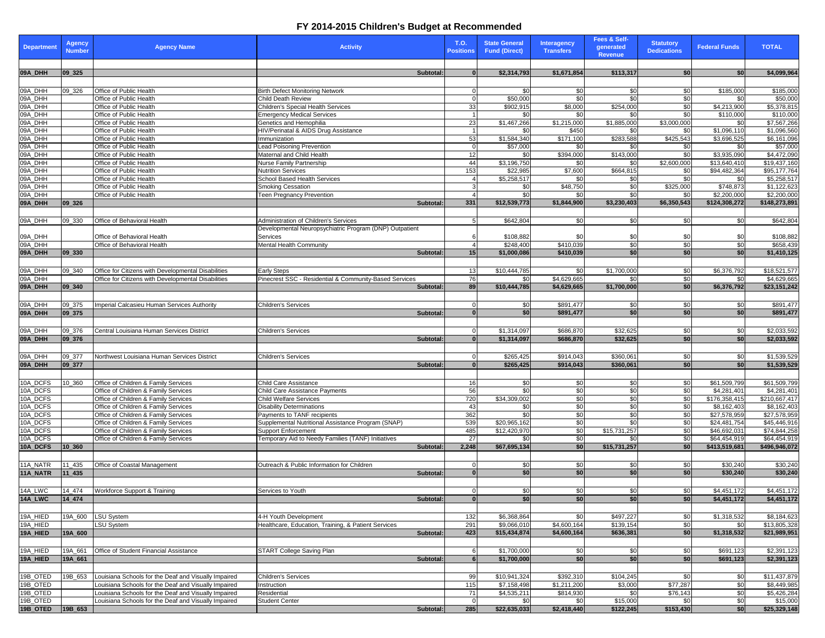## **FY 2014-2015 Children's Budget at Recommended**

| <b>Department</b>    | <b>Agency</b><br><b>Number</b> | <b>Agency Name</b>                                                                                           | <b>Activity</b>                                                  | <b>T.O.</b><br><b>Positions</b> | <b>State General</b><br><b>Fund (Direct)</b> | <b>Interagency</b><br><b>Transfers</b> | <b>Fees &amp; Self-</b><br>qenerated<br><b>Revenue</b> | <b>Statutory</b><br><b>Dedications</b> | <b>Federal Funds</b>   | <b>TOTAL</b>                 |
|----------------------|--------------------------------|--------------------------------------------------------------------------------------------------------------|------------------------------------------------------------------|---------------------------------|----------------------------------------------|----------------------------------------|--------------------------------------------------------|----------------------------------------|------------------------|------------------------------|
| 09A_DHH              | $ 09 - 325$                    |                                                                                                              | Subtotal:                                                        |                                 | \$2,314,793                                  | \$1,671,854                            | \$113,317                                              | \$0                                    | \$0                    | \$4,099,964                  |
| 09A_DHH              | 09_326                         | Office of Public Health                                                                                      | <b>Birth Defect Monitoring Network</b>                           |                                 | \$0                                          | \$0                                    | \$0                                                    | \$0                                    | \$185,000              | \$185,000                    |
| 09A_DHH              |                                | Office of Public Health                                                                                      | Child Death Review                                               |                                 | \$50,000                                     | $\overline{50}$                        | \$0                                                    | $\overline{30}$                        | \$0                    | \$50,000                     |
| 09A_DHH              |                                | Office of Public Health                                                                                      | Children's Special Health Services                               | 33                              | $\overline{$902,915}$                        | \$8,000                                | \$254,000                                              | \$0                                    | \$4,213,900            | \$5,378,815                  |
| 09A_DHH              |                                | Office of Public Health                                                                                      | <b>Emergency Medical Services</b>                                |                                 | \$0                                          | \$0                                    | \$0                                                    | \$0                                    | \$110,000              | \$110,000                    |
| 09A_DHH              |                                | Office of Public Health                                                                                      | Genetics and Hemophilia                                          | 23                              | \$1,467,266                                  | \$1,215,000                            | \$1,885,000                                            | \$3,000,000                            | \$0                    | \$7,567,266                  |
| 09A_DHH              |                                | Office of Public Health                                                                                      | HIV/Perinatal & AIDS Drug Assistance                             |                                 | \$0                                          | \$450                                  | \$0                                                    | \$0                                    | \$1,096,110            | \$1,096,560                  |
| 09A_DHH              |                                | Office of Public Health                                                                                      | Immunization                                                     | 53                              | \$1,584,340                                  | \$171,100                              | \$283,588                                              | \$425,543                              | \$3,696,525            | \$6,161,096                  |
| 09A_DHH              |                                | Office of Public Health                                                                                      | <b>Lead Poisoning Prevention</b>                                 |                                 | \$57,000                                     | \$0                                    | \$0                                                    | \$0                                    | \$0                    | \$57,000                     |
| 09A_DHH              |                                | Office of Public Health                                                                                      | Maternal and Child Health                                        | 12                              | \$0                                          | \$394,000                              | \$143,000                                              | \$0                                    | \$3,935,090            | \$4,472,090                  |
| 09A_DHH<br>09A_DHH   |                                | Office of Public Health                                                                                      | <b>Nurse Family Partnership</b>                                  | 44                              | \$3,196,750                                  | \$0                                    | \$0                                                    | \$2,600,000                            | \$13,640,410           | \$19,437,160                 |
| 09A_DHH              |                                | Office of Public Health<br>Office of Public Health                                                           | <b>Nutrition Services</b><br>School Based Health Services        | 153                             | \$22,985<br>\$5,258,517                      | \$7,600<br>\$0                         | \$664,815<br>\$0                                       | \$0<br>\$0                             | \$94,482,364<br>\$0    | \$95,177,764<br>\$5,258,517  |
| 09A_DHH              |                                | Office of Public Health                                                                                      | <b>Smoking Cessation</b>                                         |                                 | \$0                                          | \$48,750                               | \$0                                                    | \$325,000                              | \$748,873              | \$1,122,623                  |
| 09A_DHH              |                                | Office of Public Health                                                                                      | <b>Teen Pregnancy Prevention</b>                                 |                                 | \$0                                          | \$0                                    | \$0                                                    | \$0                                    | \$2,200,000            | \$2,200,000                  |
| 09A_DHH              | $ 09 - 326$                    |                                                                                                              | <b>Subtotal</b>                                                  | 331                             | \$12,539,773                                 | \$1,844,900                            | \$3,230,403                                            | \$6,350,543                            | \$124,308,272          | \$148,273,891                |
|                      |                                |                                                                                                              |                                                                  |                                 |                                              |                                        |                                                        |                                        |                        |                              |
| 09A_DHH              | 09_330                         | Office of Behavioral Health                                                                                  | Administration of Children's Services                            |                                 | \$642,804                                    | \$0                                    | \$0                                                    | \$0                                    | \$0                    | \$642,804                    |
|                      |                                |                                                                                                              | Developmental Neuropsychiatric Program (DNP) Outpatient          |                                 |                                              |                                        |                                                        |                                        |                        |                              |
| 09A_DHH              |                                | Office of Behavioral Health                                                                                  | Services                                                         |                                 | \$108,882                                    | \$0                                    | \$0                                                    | -\$C                                   | \$0                    | \$108,882                    |
| 09A_DHH              |                                | Office of Behavioral Health                                                                                  | <b>Mental Health Community</b>                                   |                                 | \$248,400                                    | \$410,039                              | $\frac{6}{2}$                                          | $\overline{30}$                        | \$0                    | \$658,439                    |
| 09A_DHH              | $ 09 - 330 $                   |                                                                                                              | Subtotal:                                                        | 15                              | \$1,000,086                                  | \$410,039                              | \$0                                                    | \$0                                    | \$0                    | \$1,410,125                  |
|                      |                                |                                                                                                              |                                                                  |                                 |                                              |                                        |                                                        |                                        |                        |                              |
| 09A_DHH              | 09 340                         | Office for Citizens with Developmental Disabilities                                                          | <b>Early Steps</b>                                               | 13                              | \$10,444,785                                 | \$0                                    | \$1,700,000                                            | \$0                                    | \$6,376,792            | \$18,521,577                 |
| 09A_DHH              |                                | Office for Citizens with Developmental Disabilities                                                          | Pinecrest SSC - Residential & Community-Based Services           | 76                              | <b>\$0</b>                                   | \$4,629,665                            | \$0                                                    | \$0                                    | \$0                    | \$4,629,665                  |
| 09A_DHH              | 09 340                         |                                                                                                              | Subtotal:                                                        | 89                              | \$10,444,785                                 | \$4,629,665                            | \$1,700,000                                            | \$0                                    | \$6,376,792            | \$23,151,242                 |
|                      |                                |                                                                                                              |                                                                  |                                 |                                              |                                        |                                                        |                                        |                        |                              |
| 09A_DHH              | 09_375                         | <b>Imperial Calcasieu Human Services Authority</b>                                                           | <b>Children's Services</b>                                       |                                 | \$0                                          | \$891,477                              | \$0                                                    | \$0                                    | \$0                    | \$891,477                    |
| 09A_DHH              | $ 09$ 375                      |                                                                                                              | <b>Subtotal</b>                                                  |                                 | \$0                                          | \$891,477                              | \$0                                                    | \$0                                    | \$0                    | \$891,477                    |
|                      |                                |                                                                                                              |                                                                  |                                 |                                              |                                        |                                                        |                                        |                        |                              |
| 09A_DHH              | 09_376                         | Central Louisiana Human Services District                                                                    | <b>Children's Services</b>                                       |                                 | \$1,314,097                                  | \$686,870                              | \$32,625                                               | \$0                                    | \$0                    | \$2,033,592                  |
| 09A_DHH              | $ 09$ _376                     |                                                                                                              | Subtotal:                                                        |                                 | \$1,314,097                                  | \$686,870                              | \$32,625                                               | \$0 <sub>1</sub>                       | \$0                    | \$2,033,592                  |
|                      |                                |                                                                                                              |                                                                  |                                 |                                              |                                        |                                                        |                                        |                        |                              |
| 09A_DHH              | 09_377                         | Northwest Louisiana Human Services District                                                                  | <b>Children's Services</b>                                       |                                 | \$265,425                                    | \$914,043                              | \$360,061                                              | \$0                                    | \$0                    | \$1,539,529                  |
| 09A_DHH              | 09, 377                        |                                                                                                              | Subtotal:                                                        |                                 | \$265,425                                    | \$914,043                              | \$360,061                                              | \$0                                    | \$0                    | \$1,539,529                  |
|                      |                                |                                                                                                              |                                                                  |                                 |                                              |                                        |                                                        |                                        |                        |                              |
| 10A_DCFS             | 10 360                         | Office of Children & Family Services                                                                         | <b>Child Care Assistance</b>                                     | 16                              | \$0                                          | \$0                                    | \$0                                                    | \$0                                    | \$61,509,799           | \$61,509,799                 |
| 10A_DCFS             |                                | Office of Children & Family Services                                                                         | Child Care Assistance Payments                                   | 56                              | \$0                                          | $\sqrt{6}$                             | $\frac{6}{3}$                                          | \$0                                    | \$4,281,401            | \$4,281,401                  |
| 10A_DCFS             |                                | Office of Children & Family Services                                                                         | <b>Child Welfare Services</b>                                    | 720                             | \$34,309,002                                 | \$0                                    | $\frac{6}{3}$                                          | \$0                                    | \$176,358,415          | \$210,667,417                |
| 10A_DCFS             |                                | Office of Children & Family Services                                                                         | <b>Disability Determinations</b>                                 | 43                              | \$0                                          | $\overline{30}$                        | $\frac{6}{3}$                                          | \$0                                    | \$8,162,403            | \$8,162,403                  |
| 10A_DCFS             |                                | Office of Children & Family Services                                                                         | Payments to TANF recipients                                      | 362                             | \$0                                          | \$0                                    | $\frac{6}{3}$                                          | \$0                                    | \$27,578,959           | \$27,578,959                 |
| 10A_DCFS             |                                | Office of Children & Family Services                                                                         | Supplemental Nutritional Assistance Program (SNAP)               | 539                             | \$20,965,162                                 | $\overline{30}$                        | \$0                                                    | $\sqrt{6}$                             | \$24,481,754           | \$45,446,916                 |
| 10A_DCFS             |                                | Office of Children & Family Services                                                                         | <b>Support Enforcement</b>                                       | 485                             | \$12,420,970                                 | $\sqrt{6}$                             | \$15,731,257                                           | \$0                                    | \$46,692,031           | \$74,844,258                 |
| 10A_DCFS             |                                | Office of Children & Family Services                                                                         | Temporary Aid to Needy Families (TANF) Initiatives               | 27                              | \$0                                          | \$0                                    | \$0                                                    | \$0                                    | \$64,454,919           | \$64,454,919                 |
| 10A_DCFS             | $10^{360}$                     |                                                                                                              | Subtotal:                                                        | 2,248                           | \$67,695,134                                 | \$0                                    | \$15,731,257                                           | \$0                                    | \$413,519,681          | \$496,946,072                |
|                      |                                |                                                                                                              |                                                                  |                                 |                                              |                                        |                                                        |                                        |                        |                              |
| 11A_NATR             | 11_435                         | Office of Coastal Management                                                                                 | Outreach & Public Information for Children                       |                                 | \$0                                          | \$0                                    | \$0                                                    | \$0                                    | \$30,240               | \$30,240                     |
| 11A_NATR             | $11 - 435$                     |                                                                                                              | Subtotal:                                                        |                                 | \$0                                          | $\overline{50}$                        | \$0                                                    | \$0                                    | \$30,240               | \$30,240                     |
|                      |                                |                                                                                                              |                                                                  |                                 |                                              |                                        |                                                        |                                        |                        |                              |
| 14A_LWC              | 14_474                         | Workforce Support & Training                                                                                 | Services to Youth                                                |                                 | \$0                                          | \$0                                    | \$0                                                    | \$0                                    | \$4,451,172            | \$4,451,172                  |
| 14A_LWC              | $14_474$                       |                                                                                                              | Subtotal:                                                        |                                 | \$0                                          | \$0                                    | \$0                                                    | \$0                                    | \$4,451,172            | \$4,451,172                  |
|                      |                                |                                                                                                              |                                                                  |                                 |                                              |                                        |                                                        |                                        |                        |                              |
| 19A_HIED             | 19A_600                        | LSU System                                                                                                   | 4-H Youth Development                                            | 132                             | \$6,368,864                                  | \$0                                    | \$497,227                                              | \$0                                    | \$1,318,532            | \$8,184,623                  |
| 19A_HIED<br>19A_HIED | 19A_600                        | LSU System                                                                                                   | Healthcare, Education, Training, & Patient Services<br>Subtotal: | 291<br>423                      | \$9,066,010<br>\$15,434,874                  | \$4,600,164                            | \$139,154<br>\$636,381                                 | \$0<br>\$0                             | \$0<br>\$1,318,532     | \$13,805,328<br>\$21,989,951 |
|                      |                                |                                                                                                              |                                                                  |                                 |                                              | \$4,600,164                            |                                                        |                                        |                        |                              |
|                      |                                |                                                                                                              |                                                                  |                                 |                                              |                                        |                                                        |                                        |                        |                              |
| 19A_HIED             | 19A_661                        | Office of Student Financial Assistance                                                                       | <b>START College Saving Plan</b>                                 |                                 | \$1,700,000<br>\$1,700,000                   | \$0<br>$\overline{50}$                 | \$0<br>\$0                                             | \$0<br>\$0                             | \$691,123<br>\$691,123 | \$2,391,123<br>\$2,391,123   |
| 19A_HIED             | 19A_661                        |                                                                                                              | Subtotal:                                                        |                                 |                                              |                                        |                                                        |                                        |                        |                              |
|                      |                                |                                                                                                              |                                                                  |                                 |                                              |                                        |                                                        |                                        |                        |                              |
| 19B_OTED<br>19B_OTED | 19B 653                        | Louisiana Schools for the Deaf and Visually Impaired                                                         | <b>Children's Services</b>                                       | 99                              | \$10,941,324                                 | \$392,310                              | \$104,245                                              | \$0                                    | \$0                    | \$11,437,879                 |
| 19B_OTED             |                                | Louisiana Schools for the Deaf and Visually Impaired<br>Louisiana Schools for the Deaf and Visually Impaired | Instruction<br>Residential                                       | 115<br>71                       | \$7,158,498<br>\$4,535,211                   | \$1,211,200<br>\$814,930               | \$3,000<br>\$0                                         | \$77,287<br>\$76,143                   | \$0<br>\$0             | \$8,449,985<br>\$5,426,284   |
| 19B_OTED             |                                | Louisiana Schools for the Deaf and Visually Impaired                                                         | <b>Student Center</b>                                            |                                 | \$0                                          | \$0                                    | \$15,000                                               | \$0                                    | \$0                    | \$15,000                     |
| 19B_OTED             | 19B_653                        |                                                                                                              | Subtotal:                                                        | 285                             | \$22,635,033                                 | \$2,418,440                            | \$122,245                                              | \$153,430                              | \$0                    | \$25,329,148                 |
|                      |                                |                                                                                                              |                                                                  |                                 |                                              |                                        |                                                        |                                        |                        |                              |